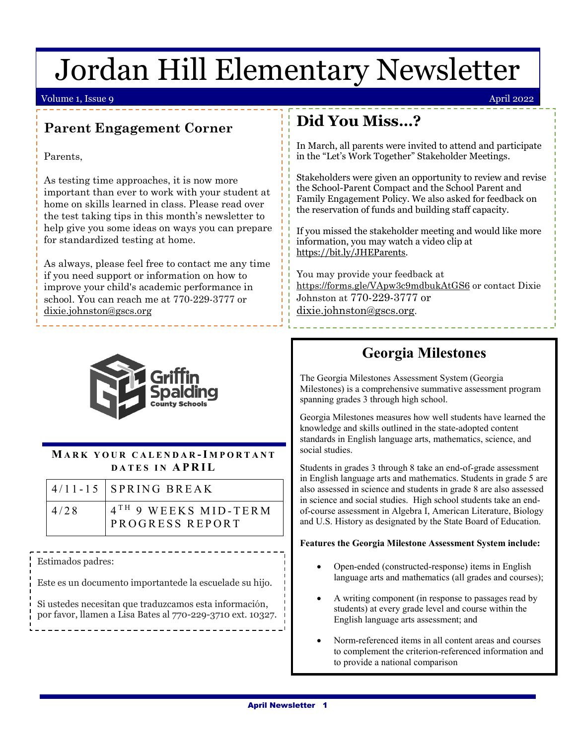# Jordan Hill Elementary Newsletter

#### Volume 1, Issue 9 April 2022

### **Parent Engagement Corner**

Parents,

As testing time approaches, it is now more important than ever to work with your student at home on skills learned in class. Please read over the test taking tips in this month's newsletter to help give you some ideas on ways you can prepare for standardized testing at home.

As always, please feel free to contact me any time if you need support or information on how to improve your child's academic performance in school. You can reach me at 770-229-3777 or [dixie.johnston@gscs.org](mailto:dixie.johnston@gscs.org)



### **M ARK YOUR CALENDAR -I MPORTANT DATES IN APRIL**

|      | $4/11 - 15$ SPRING BREAK                            |
|------|-----------------------------------------------------|
| 4/28 | 4 <sup>TH</sup> 9 WEEKS MID-TERM<br>PROGRESS REPORT |

 $\overline{ }$ Estimados padres:

Este es un documento importantede la escuelade su hijo.

 Si ustedes necesitan que traduzcamos esta información, por favor, llamen a Lisa Bates al 770-229-3710 ext. 10327.

## **Did You Miss…?**

In March, all parents were invited to attend and participate in the "Let's Work Together" Stakeholder Meetings.

Stakeholders were given an opportunity to review and revise the School-Parent Compact and the School Parent and Family Engagement Policy. We also asked for feedback on the reservation of funds and building staff capacity.

If you missed the stakeholder meeting and would like more information, you may watch a video clip at [https://bit.ly/JHEParents.](https://bit.ly/JHEParents)

You may provide your feedback at <https://forms.gle/VApw3c9mdbukAtGS6> or contact Dixie Johnston at 770-229-3777 or [dixie.johnston@gscs.org.](mailto:dixie.johnston@gscs.org)

## **Georgia Milestones**

The Georgia Milestones Assessment System (Georgia Milestones) is a comprehensive summative assessment program spanning grades 3 through high school.

Georgia Milestones measures how well students have learned the knowledge and skills outlined in the state-adopted content standards in English language arts, mathematics, science, and social studies.

Students in grades 3 through 8 take an end-of-grade assessment in English language arts and mathematics. Students in grade 5 are also assessed in science and students in grade 8 are also assessed in science and social studies. High school students take an endof-course assessment in Algebra I, American Literature, Biology and U.S. History as designated by the State Board of Education.

#### **Features the Georgia Milestone Assessment System include:**

- Open-ended (constructed-response) items in English language arts and mathematics (all grades and courses);
- A writing component (in response to passages read by students) at every grade level and course within the English language arts assessment; and
- Norm-referenced items in all content areas and courses to complement the criterion-referenced information and to provide a national comparison